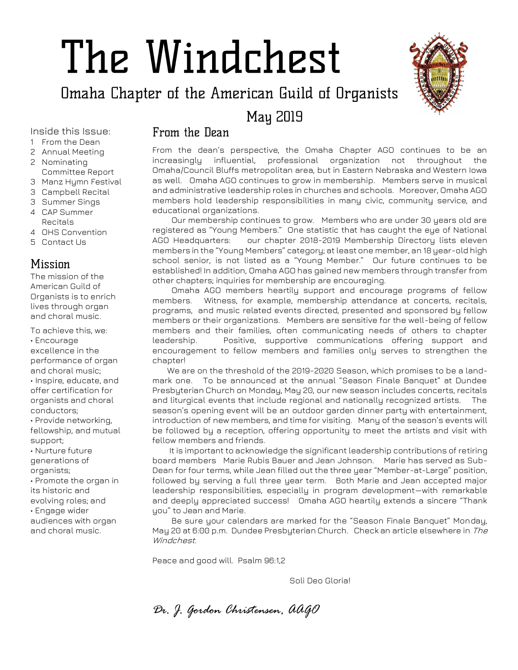# The Windchest

Omaha Chapter of the American Guild of Organists

**Mau 2019** 



Inside this Issue:

- 1 From the Dean
- 2 Annual Meeting
- 2 Nominating Committee Report
- 3 Manz Hymn Festival
- 3 Campbell Recital
- 3 Summer Sings
- 4 CAP Summer Recitals
- 4 OHS Convention
- 5 Contact Us

## Mission

The mission of the American Guild of Organists is to enrich lives through organ and choral music.

To achieve this, we: • Encourage excellence in the performance of organ and choral music; • Inspire, educate, and offer certification for organists and choral conductors; • Provide networking, fellowship, and mutual support; • Nurture future generations of organists; • Promote the organ in its historic and evolving roles; and • Engage wider audiences with organ and choral music.

## From the Dean

From the dean's perspective, the Omaha Chapter AGO continues to be an increasingly influential, professional organization not throughout the Omaha/Council Bluffs metropolitan area, but in Eastern Nebraska and Western Iowa as well. Omaha AGO continues to grow in membership. Members serve in musical and administrative leadership roles in churches and schools. Moreover, Omaha AGO members hold leadership responsibilities in many civic, community service, and educational organizations.

 Our membership continues to grow. Members who are under 30 years old are registered as "Young Members." One statistic that has caught the eye of National AGO Headquarters: our chapter 2018-2019 Membership Directory lists eleven members in the "Young Members" category; at least one member, an 18 year-old high school senior, is not listed as a "Young Member." Our future continues to be established! In addition, Omaha AGO has gained new members through transfer from other chapters; inquiries for membership are encouraging.

 Omaha AGO members heartily support and encourage programs of fellow members. Witness, for example, membership attendance at concerts, recitals, programs, and music related events directed, presented and sponsored by fellow members or their organizations. Members are sensitive for the well-being of fellow members and their families, often communicating needs of others to chapter leadership. Positive, supportive communications offering support and encouragement to fellow members and families only serves to strengthen the chapter!

 We are on the threshold of the 2019-2020 Season, which promises to be a landmark one. To be announced at the annual "Season Finale Banquet" at Dundee Presbyterian Church on Monday, May 20, our new season includes concerts, recitals and liturgical events that include regional and nationally recognized artists. The season's opening event will be an outdoor garden dinner party with entertainment, introduction of new members, and time for visiting. Many of the season's events will be followed by a reception, offering opportunity to meet the artists and visit with fellow members and friends.

 It is important to acknowledge the significant leadership contributions of retiring board members Marie Rubis Bauer and Jean Johnson. Marie has served as Sub-Dean for four terms, while Jean filled out the three year "Member-at-Large" position, followed by serving a full three year term. Both Marie and Jean accepted major leadership responsibilities, especially in program development—with remarkable and deeply appreciated success! Omaha AGO heartily extends a sincere "Thank you" to Jean and Marie.

 Be sure your calendars are marked for the "Season Finale Banquet" Monday, May 20 at 6:00 p.m. Dundee Presbyterian Church. Check an article elsewhere in The Windchest.

Peace and good will. Psalm 96:1,2

Soli Deo Gloria!

*Dr. J. Gordon Christensen, AAGO*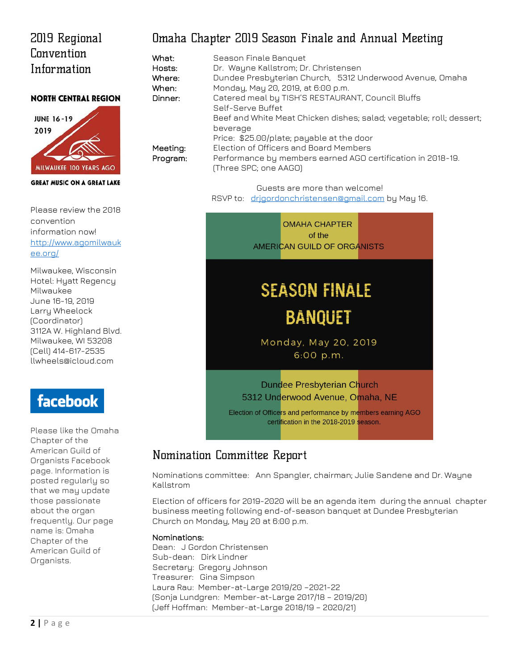## 2019 Regional Convention Information

#### **NORTH CENTRAL REGION**



#### **GREAT MUSIC ON A GREAT LAKE**

Please review the 2018 convention information now! [http://www.agomilwauk](http://www.agomilwaukee.org/) [ee.org/](http://www.agomilwaukee.org/)

Milwaukee, Wisconsin Hotel: Hyatt Regency Milwaukee June 16-19, 2019 Larry Wheelock (Coordinator) 3112A W. Highland Blvd. Milwaukee, WI 53208 (Cell) 414-617-2535 llwheels@icloud.com

# facebook

Please like the Omaha Chapter of the American Guild of Organists Facebook page. Information is posted regularly so that we may update those passionate about the organ frequently. Our page name is: Omaha Chapter of the American Guild of Organists.

## Omaha Chapter 2019 Season Finale and Annual Meeting

| What:    | Season Finale Banquet                                                |
|----------|----------------------------------------------------------------------|
| Hosts:   | Dr. Wayne Kallstrom; Dr. Christensen                                 |
| Where:   | Dundee Presbyterian Church, 5312 Underwood Avenue, Omaha             |
| When:    | Monday, May 20, 2019, at 6:00 p.m.                                   |
| Dinner:  | Catered meal by TISH'S RESTAURANT, Council Bluffs                    |
|          | Self-Serve Buffet                                                    |
|          | Beef and White Meat Chicken dishes; salad; vegetable; roll; dessert; |
|          | beverage                                                             |
|          | Price: \$25.00/plate; payable at the door                            |
| Meeting: | Election of Officers and Board Members                               |
| Program: | Performance by members earned AGO certification in 2018-19.          |
|          | (Three SPC; one AAGO)                                                |

Guests are more than welcome! RSVP to: drigordonchristensen@gmail.com by May 16.



## Nomination Committee Report

Nominations committee: Ann Spangler, chairman; Julie Sandene and Dr. Wayne Kallstrom

Election of officers for 2019-2020 will be an agenda item during the annual chapter business meeting following end-of-season banquet at Dundee Presbyterian Church on Monday, May 20 at 6:00 p.m.

#### Nominations:

Dean: J Gordon Christensen Sub-dean: Dirk Lindner Secretary: Gregory Johnson Treasurer: Gina Simpson Laura Rau: Member-at-Large 2019/20 –2021-22 (Sonja Lundgren: Member-at-Large 2017/18 – 2019/20) (Jeff Hoffman: Member-at-Large 2018/19 – 2020/21)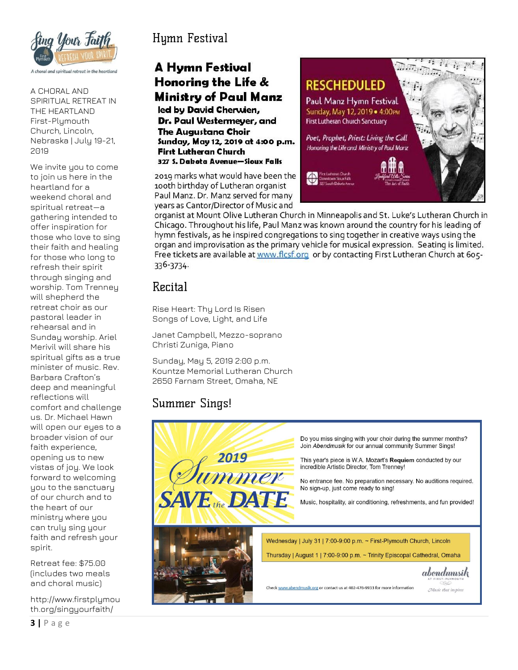

A CHORAL AND SPIRITUAL RETREAT IN THE HEARTLAND First-Plymouth Church, Lincoln, Nebraska | July 19-21, 2019

We invite you to come to join us here in the heartland for a weekend choral and spiritual retreat—a gathering intended to offer inspiration for those who love to sing their faith and healing for those who long to refresh their spirit through singing and worship. Tom Trenney will shepherd the retreat choir as our pastoral leader in rehearsal and in Sunday worship. Ariel Merivil will share his spiritual gifts as a true minister of music. Rev. Barbara Crafton's deep and meaningful reflections will comfort and challenge us. Dr. Michael Hawn will open our eyes to a broader vision of our faith experience, opening us to new vistas of joy. We look forward to welcoming you to the sanctuary of our church and to the heart of our ministry where you can truly sing your faith and refresh your spirit.

Retreat fee: \$75.00 (includes two meals and choral music)

http://www.firstplymou th.org/singyourfaith/

## Hymn Festival

## **A Hymn Festival** Honoring the Life & Ministry of Paul Manz led by David Cherwien,

Dr. Paul Westermever, and **The Augustana Choir** Sunday, May 12, 2019 at 4:00 p.m. **First Lutheran Church** 327 S. Dabota Avenue-Sioux Falls

2019 marks what would have been the 100th birthday of Lutheran organist Paul Manz. Dr. Manz served for many years as Cantor/Director of Music and



organist at Mount Olive Lutheran Church in Minneapolis and St. Luke's Lutheran Church in Chicago. Throughout his life, Paul Manz was known around the country for his leading of hymn festivals, as he inspired congregations to sing together in creative ways using the organ and improvisation as the primary vehicle for musical expression. Seating is limited. Free tickets are available at www.flcsf.org or by contacting First Lutheran Church at 605-336-3734.

## Recital

Rise Heart: Thy Lord Is Risen Songs of Love, Light, and Life

Janet Campbell, Mezzo-soprano Christi Zuniga, Piano

Sunday, May 5, 2019 2:00 p.m. Kountze Memorial Lutheran Church 2650 Farnam Street, Omaha, NE

## Summer Sings!

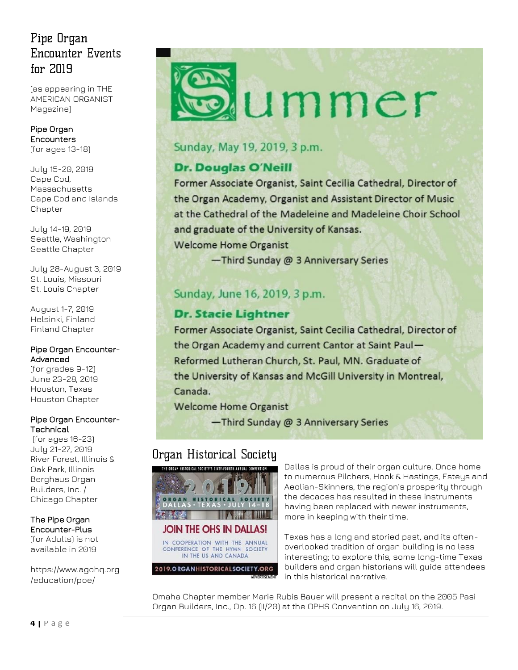## Pipe Organ Encounter Events  $for 2019$

(as appearing in THE AMERICAN ORGANIST Magazine)

[Pipe Organ](https://www.agohq.org/education/poe/poe/)  [Encounters](https://www.agohq.org/education/poe/poe/)  (for ages 13-18)

July 15-20, 2019 Cape Cod, Massachusetts [Cape Cod and Islands](http://www.capeandislandsago.org/)  **[Chapter](http://www.capeandislandsago.org/)** 

July 14-19, 2019 Seattle, Washington [Seattle Chapter](http://www.agoseattle.com/)

July 28-August 3, 2019 St. Louis, Missouri [St. Louis Chapter](http://www.agostlouis.org/)

August 1-7, 2019 Helsinki, Finland [Finland Chapter](https://www.agohq.org/chapters/finland/)

#### [Pipe Organ Encounter-](https://www.agohq.org/education/poe/poe-advanced/)[Advanced](https://www.agohq.org/education/poe/poe-advanced/)

(for grades 9-12) June 23-28, 2019 Houston, Texas [Houston Chapter](http://www.ago-houston.org/)

#### [Pipe Organ Encounter-](https://www.agohq.org/education/poe/poe-technical/)**[Technical](https://www.agohq.org/education/poe/poe-technical/)**

(for ages 16-23) July 21-27, 2019 River Forest, Illinois & Oak Park, Illinois [Berghaus Organ](http://www.berghausorgan.com/)  [Builders, Inc.](http://www.berghausorgan.com/) / [Chicago Chapter](http://www.chicagoago.com/)

The [Pipe Organ](https://www.agohq.org/education/poe/poe-advanced/)  [Encounter-Plus](https://www.agohq.org/education/poe/poe-advanced/) (for Adults) is not available in 2019

[https://www.agohq.org](https://www.agohq.org/education/poe/) [/education/poe/](https://www.agohq.org/education/poe/)



## Sunday, May 19, 2019, 3 p.m.

## **Dr. Douglas O'Neill**

Former Associate Organist, Saint Cecilia Cathedral, Director of the Organ Academy, Organist and Assistant Director of Music at the Cathedral of the Madeleine and Madeleine Choir School and graduate of the University of Kansas.

**Welcome Home Organist** 

-Third Sunday @ 3 Anniversary Series

## Sunday, June 16, 2019, 3 p.m.

## **Dr. Stacie Lightner**

Former Associate Organist, Saint Cecilia Cathedral, Director of the Organ Academy and current Cantor at Saint Paul-Reformed Lutheran Church, St. Paul, MN. Graduate of the University of Kansas and McGill University in Montreal, Canada.

**Welcome Home Organist** 

-Third Sunday @ 3 Anniversary Series

## Organ Historical Society



Dallas is proud of their organ culture. Once home to numerous Pilchers, Hook & Hastings, Esteys and Aeolian-Skinners, the region's prosperity through the decades has resulted in these instruments having been replaced with newer instruments, more in keeping with their time.

Texas has a long and storied past, and its oftenoverlooked tradition of organ building is no less interesting; to explore this, some long-time Texas builders and organ historians will guide attendees in this historical narrative.

Omaha Chapter member Marie Rubis Bauer will present a recital on the 2005 Pasi Organ Builders, Inc., Op. 16 (II/20) at the OPHS Convention on July 16, 2019.